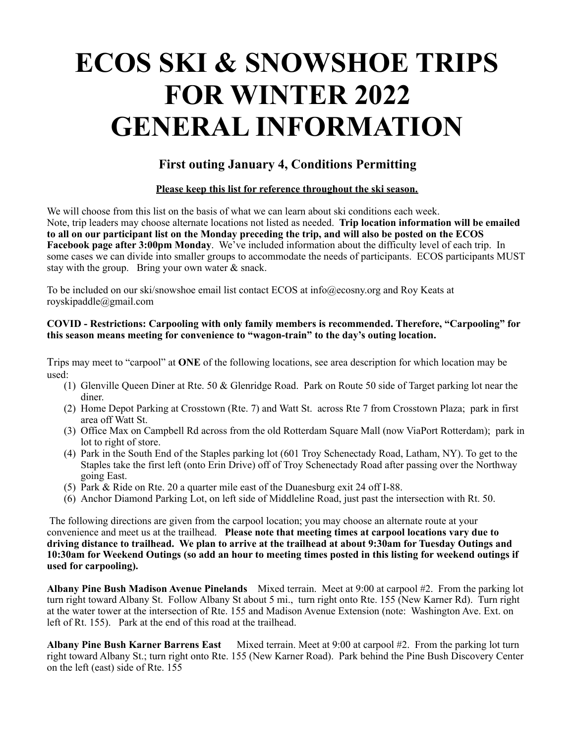# **ECOS SKI & SNOWSHOE TRIPS FOR WINTER 2022 GENERAL INFORMATION**

# **First outing January 4, Conditions Permitting**

## **Please keep this list for reference throughout the ski season.**

We will choose from this list on the basis of what we can learn about ski conditions each week. Note, trip leaders may choose alternate locations not listed as needed. **Trip location information will be emailed to all on our participant list on the Monday preceding the trip, and will also be posted on the ECOS Facebook page after 3:00pm Monday**. We've included information about the difficulty level of each trip. In some cases we can divide into smaller groups to accommodate the needs of participants. ECOS participants MUST stay with the group. Bring your own water & snack.

To be included on our ski/snowshoe email list contact ECOS at info@ecosny.org and Roy Keats at royskipaddle@gmail.com

### **COVID - Restrictions: Carpooling with only family members is recommended. Therefore, "Carpooling" for this season means meeting for convenience to "wagon-train" to the day's outing location.**

Trips may meet to "carpool" at **ONE** of the following locations, see area description for which location may be used:

- (1) Glenville Queen Diner at Rte. 50 & Glenridge Road. Park on Route 50 side of Target parking lot near the diner.
- (2) Home Depot Parking at Crosstown (Rte. 7) and Watt St. across Rte 7 from Crosstown Plaza; park in first area off Watt St.
- (3) Office Max on Campbell Rd across from the old Rotterdam Square Mall (now ViaPort Rotterdam); park in lot to right of store.
- (4) Park in the South End of the Staples parking lot (601 Troy Schenectady Road, Latham, NY). To get to the Staples take the first left (onto Erin Drive) off of Troy Schenectady Road after passing over the Northway going East.
- (5) Park & Ride on Rte. 20 a quarter mile east of the Duanesburg exit 24 off I-88.
- (6) Anchor Diamond Parking Lot, on left side of Middleline Road, just past the intersection with Rt. 50.

 The following directions are given from the carpool location; you may choose an alternate route at your convenience and meet us at the trailhead. **Please note that meeting times at carpool locations vary due to driving distance to trailhead. We plan to arrive at the trailhead at about 9:30am for Tuesday Outings and 10:30am for Weekend Outings (so add an hour to meeting times posted in this listing for weekend outings if used for carpooling).**

**Albany Pine Bush Madison Avenue Pinelands** Mixed terrain.Meet at 9:00 at carpool #2. From the parking lot turn right toward Albany St. Follow Albany St about 5 mi., turn right onto Rte. 155 (New Karner Rd). Turn right at the water tower at the intersection of Rte. 155 and Madison Avenue Extension (note: Washington Ave. Ext. on left of Rt. 155). Park at the end of this road at the trailhead.

**Albany Pine Bush Karner Barrens East** Mixed terrain. Meet at 9:00 at carpool #2. From the parking lot turn right toward Albany St.; turn right onto Rte. 155 (New Karner Road). Park behind the Pine Bush Discovery Center on the left (east) side of Rte. 155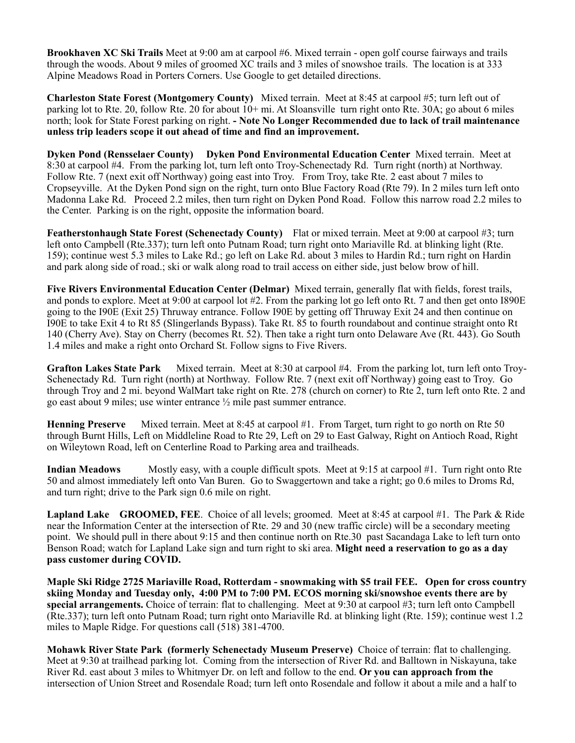**Brookhaven XC Ski Trails** Meet at 9:00 am at carpool #6. Mixed terrain - open golf course fairways and trails through the woods. About 9 miles of groomed XC trails and 3 miles of snowshoe trails. The location is at 333 Alpine Meadows Road in Porters Corners. Use Google to get detailed directions.

**Charleston State Forest (Montgomery County)** Mixed terrain.Meet at 8:45 at carpool #5; turn left out of parking lot to Rte. 20, follow Rte. 20 for about 10+ mi. At Sloansville turn right onto Rte. 30A; go about 6 miles north; look for State Forest parking on right. **- Note No Longer Recommended due to lack of trail maintenance unless trip leaders scope it out ahead of time and find an improvement.**

**Dyken Pond (Rensselaer County) Dyken Pond Environmental Education Center** Mixed terrain. Meet at 8:30 at carpool #4. From the parking lot, turn left onto Troy-Schenectady Rd. Turn right (north) at Northway. Follow Rte. 7 (next exit off Northway) going east into Troy. From Troy, take Rte. 2 east about 7 miles to Cropseyville. At the Dyken Pond sign on the right, turn onto Blue Factory Road (Rte 79). In 2 miles turn left onto Madonna Lake Rd. Proceed 2.2 miles, then turn right on Dyken Pond Road. Follow this narrow road 2.2 miles to the Center. Parking is on the right, opposite the information board.

**Featherstonhaugh State Forest (Schenectady County)** Flat or mixed terrain. Meet at 9:00 at carpool #3; turn left onto Campbell (Rte.337); turn left onto Putnam Road; turn right onto Mariaville Rd. at blinking light (Rte. 159); continue west 5.3 miles to Lake Rd.; go left on Lake Rd. about 3 miles to Hardin Rd.; turn right on Hardin and park along side of road.; ski or walk along road to trail access on either side, just below brow of hill.

**Five Rivers Environmental Education Center (Delmar)** Mixed terrain, generally flat with fields, forest trails, and ponds to explore. Meet at 9:00 at carpool lot #2. From the parking lot go left onto Rt. 7 and then get onto I890E going to the I90E (Exit 25) Thruway entrance. Follow I90E by getting off Thruway Exit 24 and then continue on I90E to take Exit 4 to Rt 85 (Slingerlands Bypass). Take Rt. 85 to fourth roundabout and continue straight onto Rt 140 (Cherry Ave). Stay on Cherry (becomes Rt. 52). Then take a right turn onto Delaware Ave (Rt. 443). Go South 1.4 miles and make a right onto Orchard St. Follow signs to Five Rivers.

**Grafton Lakes State Park** Mixed terrain. Meet at 8:30 at carpool #4. From the parking lot, turn left onto Troy-Schenectady Rd. Turn right (north) at Northway. Follow Rte. 7 (next exit off Northway) going east to Troy. Go through Troy and 2 mi. beyond WalMart take right on Rte. 278 (church on corner) to Rte 2, turn left onto Rte. 2 and go east about 9 miles; use winter entrance ½ mile past summer entrance.

**Henning Preserve** Mixed terrain. Meet at 8:45 at carpool #1. From Target, turn right to go north on Rte 50 through Burnt Hills, Left on Middleline Road to Rte 29, Left on 29 to East Galway, Right on Antioch Road, Right on Wileytown Road, left on Centerline Road to Parking area and trailheads.

**Indian Meadows** Mostly easy, with a couple difficult spots. Meet at 9:15 at carpool #1. Turn right onto Rte 50 and almost immediately left onto Van Buren. Go to Swaggertown and take a right; go 0.6 miles to Droms Rd, and turn right; drive to the Park sign 0.6 mile on right.

**Lapland Lake GROOMED, FEE.** Choice of all levels; groomed. Meet at 8:45 at carpool #1. The Park & Ride near the Information Center at the intersection of Rte. 29 and 30 (new traffic circle) will be a secondary meeting point. We should pull in there about 9:15 and then continue north on Rte.30 past Sacandaga Lake to left turn onto Benson Road; watch for Lapland Lake sign and turn right to ski area. **Might need a reservation to go as a day pass customer during COVID.**

**Maple Ski Ridge 2725 Mariaville Road, Rotterdam - snowmaking with \$5 trail FEE. Open for cross country skiing Monday and Tuesday only, 4:00 PM to 7:00 PM. ECOS morning ski/snowshoe events there are by special arrangements.** Choice of terrain: flat to challenging. Meet at 9:30 at carpool #3; turn left onto Campbell (Rte.337); turn left onto Putnam Road; turn right onto Mariaville Rd. at blinking light (Rte. 159); continue west 1.2 miles to Maple Ridge. For questions call (518) 381-4700.

**Mohawk River State Park (formerly Schenectady Museum Preserve)** Choice of terrain: flat to challenging. Meet at 9:30 at trailhead parking lot. Coming from the intersection of River Rd. and Balltown in Niskayuna, take River Rd. east about 3 miles to Whitmyer Dr. on left and follow to the end. **Or you can approach from the** intersection of Union Street and Rosendale Road; turn left onto Rosendale and follow it about a mile and a half to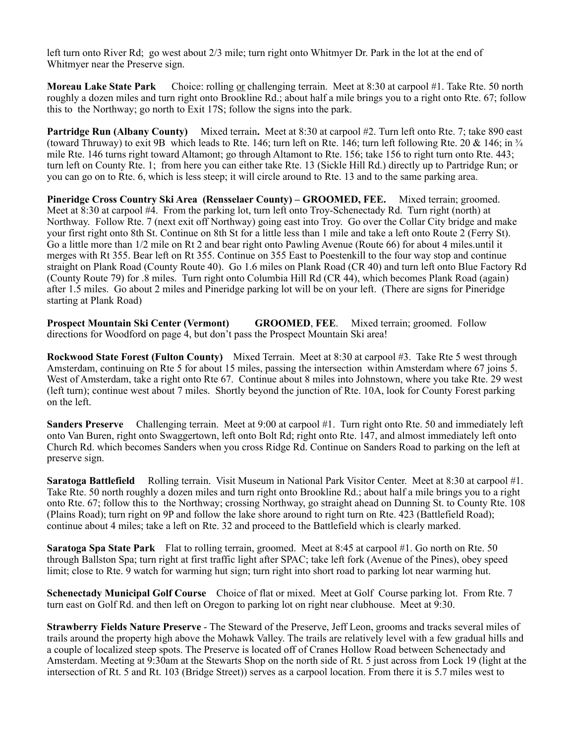left turn onto River Rd; go west about 2/3 mile; turn right onto Whitmyer Dr. Park in the lot at the end of Whitmyer near the Preserve sign.

**Moreau Lake State Park** Choice: rolling or challenging terrain.Meet at 8:30 at carpool #1. Take Rte. 50 north roughly a dozen miles and turn right onto Brookline Rd.; about half a mile brings you to a right onto Rte. 67; follow this to the Northway; go north to Exit 17S; follow the signs into the park.

**Partridge Run (Albany County)** Mixed terrain. Meet at 8:30 at carpool #2. Turn left onto Rte. 7; take 890 east (toward Thruway) to exit 9B which leads to Rte. 146; turn left on Rte. 146; turn left following Rte. 20  $\&$  146; in  $\frac{3}{4}$ mile Rte. 146 turns right toward Altamont; go through Altamont to Rte. 156; take 156 to right turn onto Rte. 443; turn left on County Rte. 1; from here you can either take Rte. 13 (Sickle Hill Rd.) directly up to Partridge Run; or you can go on to Rte. 6, which is less steep; it will circle around to Rte. 13 and to the same parking area.

**Pineridge Cross Country Ski Area (Rensselaer County) – GROOMED, FEE.** Mixed terrain; groomed. Meet at 8:30 at carpool #4. From the parking lot, turn left onto Troy-Schenectady Rd. Turn right (north) at Northway. Follow Rte. 7 (next exit off Northway) going east into Troy. Go over the Collar City bridge and make your first right onto 8th St. Continue on 8th St for a little less than 1 mile and take a left onto Route 2 (Ferry St). Go a little more than 1/2 mile on Rt 2 and bear right onto Pawling Avenue (Route 66) for about 4 miles.until it merges with Rt 355. Bear left on Rt 355. Continue on 355 East to Poestenkill to the four way stop and continue straight on Plank Road (County Route 40). Go 1.6 miles on Plank Road (CR 40) and turn left onto Blue Factory Rd (County Route 79) for .8 miles. Turn right onto Columbia Hill Rd (CR 44), which becomes Plank Road (again) after 1.5 miles. Go about 2 miles and Pineridge parking lot will be on your left. (There are signs for Pineridge starting at Plank Road)

**Prospect Mountain Ski Center (Vermont) GROOMED**, **FEE**. Mixed terrain; groomed. Follow directions for Woodford on page 4, but don't pass the Prospect Mountain Ski area!

**Rockwood State Forest (Fulton County)** Mixed Terrain.Meet at 8:30 at carpool #3. Take Rte 5 west through Amsterdam, continuing on Rte 5 for about 15 miles, passing the intersection within Amsterdam where 67 joins 5. West of Amsterdam, take a right onto Rte 67. Continue about 8 miles into Johnstown, where you take Rte. 29 west (left turn); continue west about 7 miles. Shortly beyond the junction of Rte. 10A, look for County Forest parking on the left.

**Sanders Preserve** Challenging terrain. Meet at 9:00 at carpool #1. Turn right onto Rte. 50 and immediately left onto Van Buren, right onto Swaggertown, left onto Bolt Rd; right onto Rte. 147, and almost immediately left onto Church Rd. which becomes Sanders when you cross Ridge Rd. Continue on Sanders Road to parking on the left at preserve sign.

**Saratoga Battlefield** Rolling terrain. Visit Museum in National Park Visitor Center. Meet at 8:30 at carpool #1. Take Rte. 50 north roughly a dozen miles and turn right onto Brookline Rd.; about half a mile brings you to a right onto Rte. 67; follow this to the Northway; crossing Northway, go straight ahead on Dunning St. to County Rte. 108 (Plains Road); turn right on 9P and follow the lake shore around to right turn on Rte. 423 (Battlefield Road); continue about 4 miles; take a left on Rte. 32 and proceed to the Battlefield which is clearly marked.

**Saratoga Spa State Park** Flat to rolling terrain, groomed.Meet at 8:45 at carpool #1. Go north on Rte. 50 through Ballston Spa; turn right at first traffic light after SPAC; take left fork (Avenue of the Pines), obey speed limit; close to Rte. 9 watch for warming hut sign; turn right into short road to parking lot near warming hut.

**Schenectady Municipal Golf Course** Choice of flat or mixed. Meet at Golf Course parking lot. From Rte. 7 turn east on Golf Rd. and then left on Oregon to parking lot on right near clubhouse. Meet at 9:30.

**Strawberry Fields Nature Preserve** - The Steward of the Preserve, Jeff Leon, grooms and tracks several miles of trails around the property high above the Mohawk Valley. The trails are relatively level with a few gradual hills and a couple of localized steep spots. The Preserve is located off of Cranes Hollow Road between Schenectady and Amsterdam. Meeting at 9:30am at the Stewarts Shop on the north side of Rt. 5 just across from Lock 19 (light at the intersection of Rt. 5 and Rt. 103 (Bridge Street)) serves as a carpool location. From there it is 5.7 miles west to